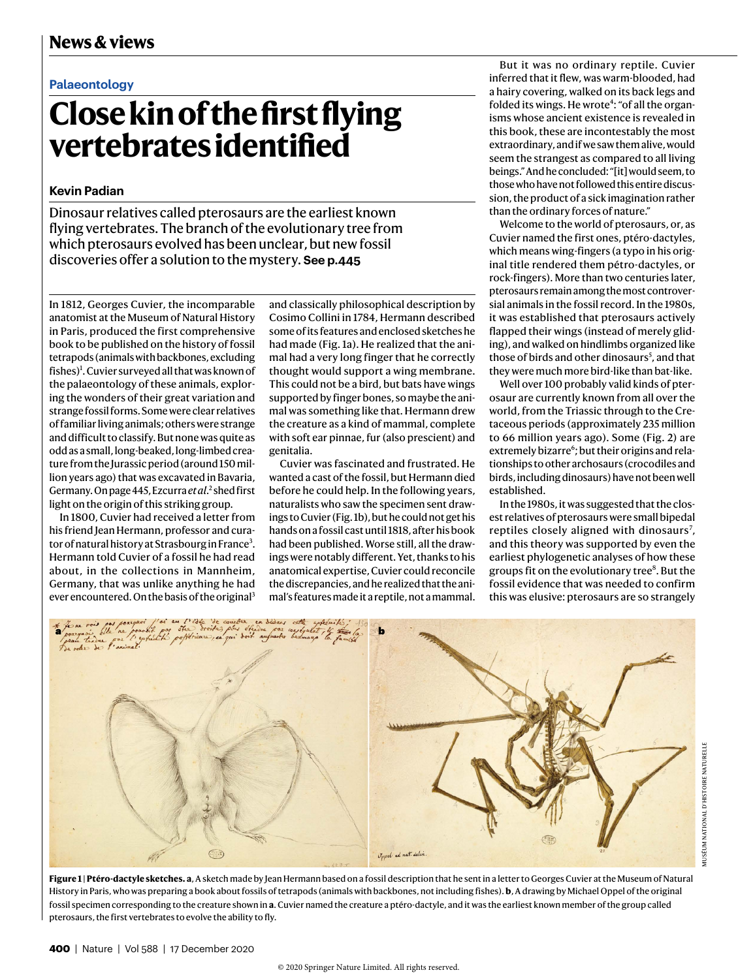## **Palaeontology**

## **Close kin of the first flying vertebrates identified**

## **Kevin Padian**

Dinosaur relatives called pterosaurs are the earliest known flying vertebrates. The branch of the evolutionary tree from which pterosaurs evolved has been unclear, but new fossil discoveries offer a solution to the mystery. **See p.445** 

In 1812, Georges Cuvier, the incomparable anatomist at the Museum of Natural History in Paris, produced the first comprehensive book to be published on the history of fossil tetrapods (animals with backbones, excluding fishes)<sup>1</sup>. Cuvier surveyed all that was known of the palaeontology of these animals, exploring the wonders of their great variation and strange fossil forms. Some were clear relatives of familiar living animals; others were strange and difficult to classify. But none was quite as odd as a small, long-beaked, long-limbed creature from the Jurassic period (around 150 million years ago) that was excavated in Bavaria, Germany. On page 445, Ezcurra *et al*.<sup>2</sup> shed first light on the origin of this striking group.

In 1800, Cuvier had received a letter from his friend Jean Hermann, professor and curator of natural history at Strasbourg in France<sup>3</sup>. Hermann told Cuvier of a fossil he had read about, in the collections in Mannheim, Germany, that was unlike anything he had ever encountered. On the basis of the original<sup>3</sup>

and classically philosophical description by Cosimo Collini in 1784, Hermann described some of its features and enclosed sketches he had made (Fig. 1a). He realized that the animal had a very long finger that he correctly thought would support a wing membrane. This could not be a bird, but bats have wings supported by finger bones, so maybe the animal was something like that. Hermann drew the creature as a kind of mammal, complete with soft ear pinnae, fur (also prescient) and genitalia.

Cuvier was fascinated and frustrated. He wanted a cast of the fossil, but Hermann died before he could help. In the following years, naturalists who saw the specimen sent drawings to Cuvier (Fig. 1b), but he could not get his hands on a fossil cast until 1818, after his book had been published. Worse still, all the drawings were notably different. Yet, thanks to his anatomical expertise, Cuvier could reconcile the discrepancies, and he realized that the animal's features made it a reptile, not a mammal.

But it was no ordinary reptile. Cuvier inferred that it flew, was warm-blooded, had a hairy covering, walked on its back legs and folded its wings. He wrote<sup>4</sup>: "of all the organisms whose ancient existence is revealed in this book, these are incontestably the most extraordinary, and if we saw them alive, would seem the strangest as compared to all living beings." And he concluded: "[it] would seem, to those who have not followed this entire discussion, the product of a sick imagination rather than the ordinary forces of nature."

Welcome to the world of pterosaurs, or, as Cuvier named the first ones, ptéro-dactyles, which means wing-fingers (a typo in his original title rendered them pétro-dactyles, or rock-fingers). More than two centuries later, pterosaurs remain among the most controversial animals in the fossil record. In the 1980s, it was established that pterosaurs actively flapped their wings (instead of merely gliding), and walked on hindlimbs organized like those of birds and other dinosaurs<sup>5</sup>, and that they were much more bird-like than bat-like.

Well over 100 probably valid kinds of pterosaur are currently known from all over the world, from the Triassic through to the Cretaceous periods (approximately 235 million to 66 million years ago). Some (Fig. 2) are extremely bizarre<sup>6</sup>; but their origins and relationships to other archosaurs (crocodiles and birds, including dinosaurs) have not been well established.

In the 1980s, it was suggested that the closest relatives of pterosaurs were small bipedal reptiles closely aligned with dinosaurs<sup>7</sup>, and this theory was supported by even the earliest phylogenetic analyses of how these groups fit on the evolutionary tree<sup>8</sup>. But the fossil evidence that was needed to confirm this was elusive: pterosaurs are so strangely